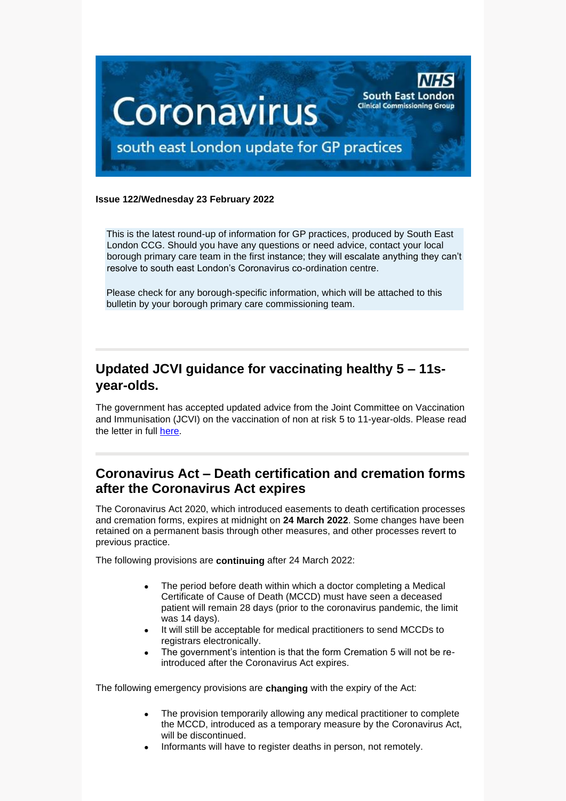

#### **Issue 122/Wednesday 23 February 2022**

This is the latest round-up of information for GP practices, produced by South East London CCG. Should you have any questions or need advice, contact your local borough primary care team in the first instance; they will escalate anything they can't resolve to south east London's Coronavirus co-ordination centre.

Please check for any borough-specific information, which will be attached to this bulletin by your borough primary care commissioning team.

# **Updated JCVI guidance for vaccinating healthy 5 – 11syear-olds.**

The government has accepted updated advice from the Joint Committee on Vaccination and Immunisation (JCVI) on the vaccination of non at risk 5 to 11-year-olds. Please read the letter in full [here.](https://selondonccg.nhs.uk/wp-content/uploads/2022/02/C1591_Updated-JCVI-advice-for-vaccinating-5-11-year-olds_180222-.pdf)

## **Coronavirus Act – Death certification and cremation forms after the Coronavirus Act expires**

The Coronavirus Act 2020, which introduced easements to death certification processes and cremation forms, expires at midnight on **24 March 2022**. Some changes have been retained on a permanent basis through other measures, and other processes revert to previous practice.

The following provisions are **continuing** after 24 March 2022:

- The period before death within which a doctor completing a Medical Certificate of Cause of Death (MCCD) must have seen a deceased patient will remain 28 days (prior to the coronavirus pandemic, the limit was 14 days).
- It will still be acceptable for medical practitioners to send MCCDs to registrars electronically.
- The government's intention is that the form Cremation 5 will not be reintroduced after the Coronavirus Act expires.

The following emergency provisions are **changing** with the expiry of the Act:

- The provision temporarily allowing any medical practitioner to complete the MCCD, introduced as a temporary measure by the Coronavirus Act, will be discontinued.
- Informants will have to register deaths in person, not remotely.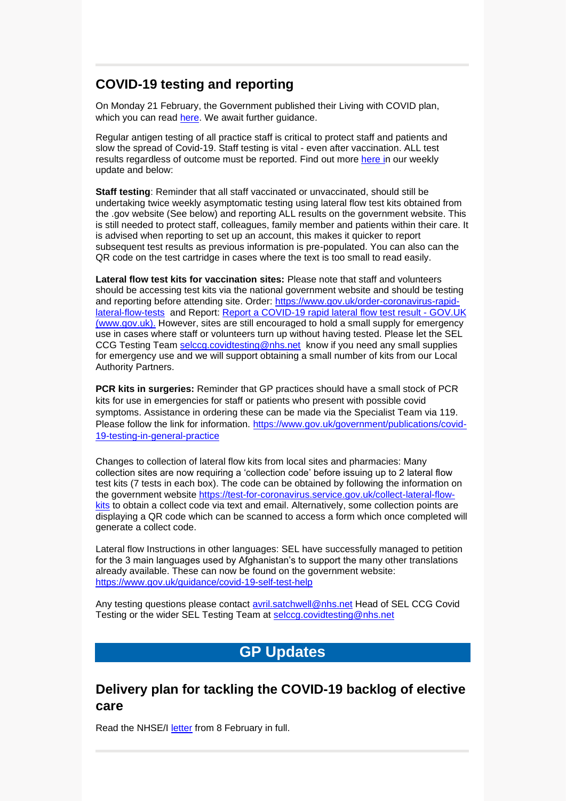## **COVID-19 testing and reporting**

On Monday 21 February, the Government published their Living with COVID plan, which you can read [here.](https://assets.publishing.service.gov.uk/government/uploads/system/uploads/attachment_data/file/1056202/COVID-19_Response_-_Living_with_COVID-19__1_.pdf) We await further guidance.

Regular antigen testing of all practice staff is critical to protect staff and patients and slow the spread of Covid-19. Staff testing is vital - even after vaccination. ALL test results regardless of outcome must be reported. Find out more [here](https://selondonccg.nhs.uk/wp-content/uploads/2022/02/key-messages-for-GP-weekly-bulletin-18-Feb-2022.pdf) in our weekly update and below:

**Staff testing**: Reminder that all staff vaccinated or unvaccinated, should still be undertaking twice weekly asymptomatic testing using lateral flow test kits obtained from the .gov website (See below) and reporting ALL results on the government website. This is still needed to protect staff, colleagues, family member and patients within their care. It is advised when reporting to set up an account, this makes it quicker to report subsequent test results as previous information is pre-populated. You can also can the QR code on the test cartridge in cases where the text is too small to read easily.

**Lateral flow test kits for vaccination sites:** Please note that staff and volunteers should be accessing test kits via the national government website and should be testing and reporting before attending site. Order: [https://www.gov.uk/order-coronavirus-rapid](https://www.gov.uk/order-coronavirus-rapid-lateral-flow-tests)[lateral-flow-tests](https://www.gov.uk/order-coronavirus-rapid-lateral-flow-tests) and Report: [Report a COVID-19 rapid lateral flow test result -](https://www.gov.uk/report-covid19-result) GOV.UK [\(www.gov.uk\).](https://www.gov.uk/report-covid19-result) However, sites are still encouraged to hold a small supply for emergency use in cases where staff or volunteers turn up without having tested. Please let the SEL CCG Testing Team [selccg.covidtesting@nhs.net](mailto:selccg.covidtesting@nhs.net) know if you need any small supplies for emergency use and we will support obtaining a small number of kits from our Local Authority Partners.

**PCR kits in surgeries:** Reminder that GP practices should have a small stock of PCR kits for use in emergencies for staff or patients who present with possible covid symptoms. Assistance in ordering these can be made via the Specialist Team via 119. Please follow the link for information. [https://www.gov.uk/government/publications/covid-](https://www.gov.uk/government/publications/covid-19-testing-in-general-practice)[19-testing-in-general-practice](https://www.gov.uk/government/publications/covid-19-testing-in-general-practice)

Changes to collection of lateral flow kits from local sites and pharmacies: Many collection sites are now requiring a 'collection code' before issuing up to 2 lateral flow test kits (7 tests in each box). The code can be obtained by following the information on the government website [https://test-for-coronavirus.service.gov.uk/collect-lateral-flow](https://test-for-coronavirus.service.gov.uk/collect-lateral-flow-kits)[kits](https://test-for-coronavirus.service.gov.uk/collect-lateral-flow-kits) to obtain a collect code via text and email. Alternatively, some collection points are displaying a QR code which can be scanned to access a form which once completed will generate a collect code.

Lateral flow Instructions in other languages: SEL have successfully managed to petition for the 3 main languages used by Afghanistan's to support the many other translations already available. These can now be found on the government website: <https://www.gov.uk/guidance/covid-19-self-test-help>

Any testing questions please contact [avril.satchwell@nhs.net](mailto:avril.satchwell@nhs.net) Head of SEL CCG Covid Testing or the wider SEL Testing Team at [selccg.covidtesting@nhs.net](mailto:selccg.covidtesting@nhs.net)

# **GP Updates**

### **Delivery plan for tackling the COVID-19 backlog of elective care**

Read the NHSE/I [letter](https://selondonccg.nhs.uk/wp-content/uploads/2022/02/C1466-letter-delivery-plan-for-tackling-the-covid-19-backlog-of-elective-care.pdf) from 8 February in full.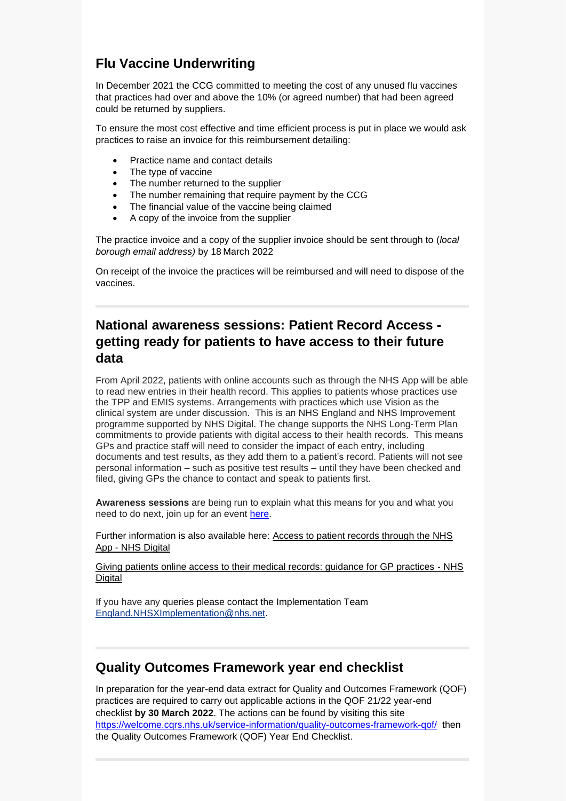# **Flu Vaccine Underwriting**

In December 2021 the CCG committed to meeting the cost of any unused flu vaccines that practices had over and above the 10% (or agreed number) that had been agreed could be returned by suppliers.

To ensure the most cost effective and time efficient process is put in place we would ask practices to raise an invoice for this reimbursement detailing:

- Practice name and contact details
- The type of vaccine
- The number returned to the supplier
- The number remaining that require payment by the CCG
- The financial value of the vaccine being claimed
- A copy of the invoice from the supplier

The practice invoice and a copy of the supplier invoice should be sent through to (*local borough email address)* by 18 March 2022

On receipt of the invoice the practices will be reimbursed and will need to dispose of the vaccines.

# **National awareness sessions: Patient Record Access getting ready for patients to have access to their future data**

From April 2022, patients with online accounts such as through the NHS App will be able to read new entries in their health record. This applies to patients whose practices use the TPP and EMIS systems. Arrangements with practices which use Vision as the clinical system are under discussion. This is an NHS England and NHS Improvement programme supported by NHS Digital. The change supports the NHS Long-Term Plan commitments to provide patients with digital access to their health records. This means GPs and practice staff will need to consider the impact of each entry, including documents and test results, as they add them to a patient's record. Patients will not see personal information – such as positive test results – until they have been checked and filed, giving GPs the chance to contact and speak to patients first.

**Awareness sessions** are being run to explain what this means for you and what you need to do next, join up for an event [here.](https://www.events.england.nhs.uk/getting-ready-for-all-patients-to-have-access-to-their-future-data)

Further information is also available here: [Access to patient records through the NHS](https://digital.nhs.uk/services/nhs-app/nhs-app-guidance-for-gp-practices/accelerating-patient-access-to-their-record)  App - [NHS Digital](https://digital.nhs.uk/services/nhs-app/nhs-app-guidance-for-gp-practices/accelerating-patient-access-to-their-record)

[Giving patients online access to their medical records: guidance for GP practices -](https://digital.nhs.uk/services/nhs-app/nhs-app-guidance-for-gp-practices/accelerating-patient-access-to-their-record/giving-patients-online-access-to-their-medical-records-guidance-for-gp-practices) NHS **[Digital](https://digital.nhs.uk/services/nhs-app/nhs-app-guidance-for-gp-practices/accelerating-patient-access-to-their-record/giving-patients-online-access-to-their-medical-records-guidance-for-gp-practices)** 

If you have any queries please contact the Implementation Team [England.NHSXImplementation@nhs.net.](mailto:England.NHSXImplementation@nhs.net)

### **Quality Outcomes Framework year end checklist**

In preparation for the year-end data extract for Quality and Outcomes Framework (QOF) practices are required to carry out applicable actions in the QOF 21/22 year-end checklist **by 30 March 2022**. The actions can be found by visiting this site <https://welcome.cqrs.nhs.uk/service-information/quality-outcomes-framework-qof/> then the Quality Outcomes Framework (QOF) Year End Checklist.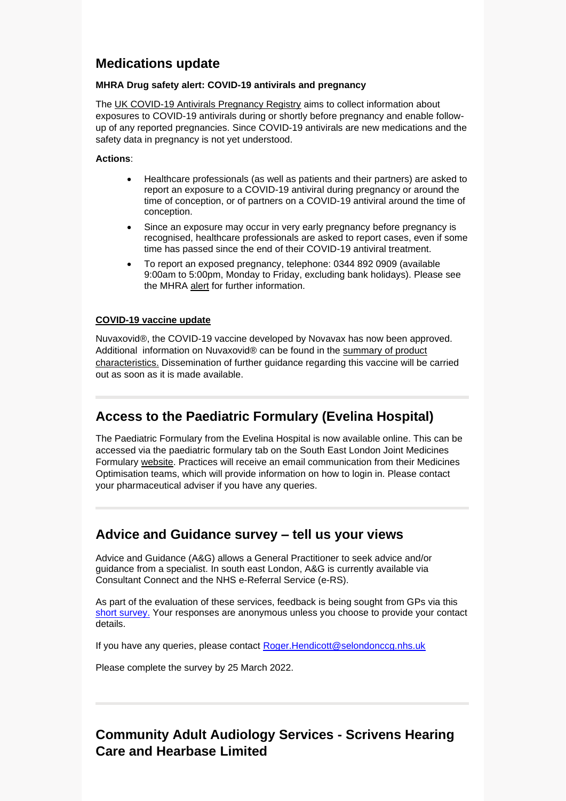## **Medications update**

#### **MHRA Drug safety alert: COVID-19 antivirals and pregnancy**

The [UK COVID-19 Antivirals Pregnancy Registry](http://www.medicinesinpregnancy.org/COVID-19-Antivirals-Pregnancy-Registry) aims to collect information about exposures to COVID-19 antivirals during or shortly before pregnancy and enable followup of any reported pregnancies. Since COVID-19 antivirals are new medications and the safety data in pregnancy is not yet understood.

#### **Actions**:

- Healthcare professionals (as well as patients and their partners) are asked to report an exposure to a COVID-19 antiviral during pregnancy or around the time of conception, or of partners on a COVID-19 antiviral around the time of conception.
- Since an exposure may occur in very early pregnancy before pregnancy is recognised, healthcare professionals are asked to report cases, even if some time has passed since the end of their COVID-19 antiviral treatment.
- To report an exposed pregnancy, telephone: 0344 892 0909 (available 9:00am to 5:00pm, Monday to Friday, excluding bank holidays). Please see the MHRA [alert](https://www.gov.uk/drug-safety-update/covid-19-antivirals-reporting-to-the-uk-covid-19-antivirals-pregnancy-registry?cachebust=1644934174) for further information.

#### **[COVID-19 vaccine update](https://www.gov.uk/drug-safety-update/covid-19-vaccines-and-medicines-updates-for-february-2022#approval-of-novavax-covid-19-vaccine-nuvaxovid)**

Nuvaxovid®, the COVID-19 vaccine developed by Novavax has now been approved. Additional information on Nuvaxovid® can be found in the [summary of product](https://www.gov.uk/government/publications/regulatory-approval-of-covid-19-vaccine-nuvaxovid/summary-of-product-characteristics-for-nuvaxovid-dispersion-for-injection)  [characteristics.](https://www.gov.uk/government/publications/regulatory-approval-of-covid-19-vaccine-nuvaxovid/summary-of-product-characteristics-for-nuvaxovid-dispersion-for-injection) Dissemination of further guidance regarding this vaccine will be carried out as soon as it is made available.

# **Access to the Paediatric Formulary (Evelina Hospital)**

The Paediatric Formulary from the Evelina Hospital is now available online. This can be accessed via the paediatric formulary tab on the South East London Joint Medicines Formulary [website.](https://www.selondonjointmedicinesformulary.nhs.uk/chaptersSubDetails.asp?FormularySectionID=4&SubSectionRef=04.07.03&SubSectionID=C100&drugmatch=5805) Practices will receive an email communication from their Medicines Optimisation teams, which will provide information on how to login in. Please contact your pharmaceutical adviser if you have any queries.

### **Advice and Guidance survey – tell us your views**

Advice and Guidance (A&G) allows a General Practitioner to seek advice and/or guidance from a specialist. In south east London, A&G is currently available via Consultant Connect and the NHS e-Referral Service (e-RS).

As part of the evaluation of these services, feedback is being sought from GPs via this [short survey.](https://forms.office.com/pages/responsepage.aspx?id=oZ5z9bnEj0uUivN-RCh6VJxRgeL8N_5EjNa8m8kkPSZURVcwM0JGOEpYWFBXQVNCRkc4NkpTRjdEUy4u&web=1&wdLOR=c129365B0-A496-4D0E-8FDC-1A4B42926E29) Your responses are anonymous unless you choose to provide your contact details.

If you have any queries, please contact [Roger.Hendicott@selondonccg.nhs.uk](mailto:Roger.Hendicott@selondonccg.nhs.uk)

Please complete the survey by 25 March 2022.

# **Community Adult Audiology Services - Scrivens Hearing Care and Hearbase Limited**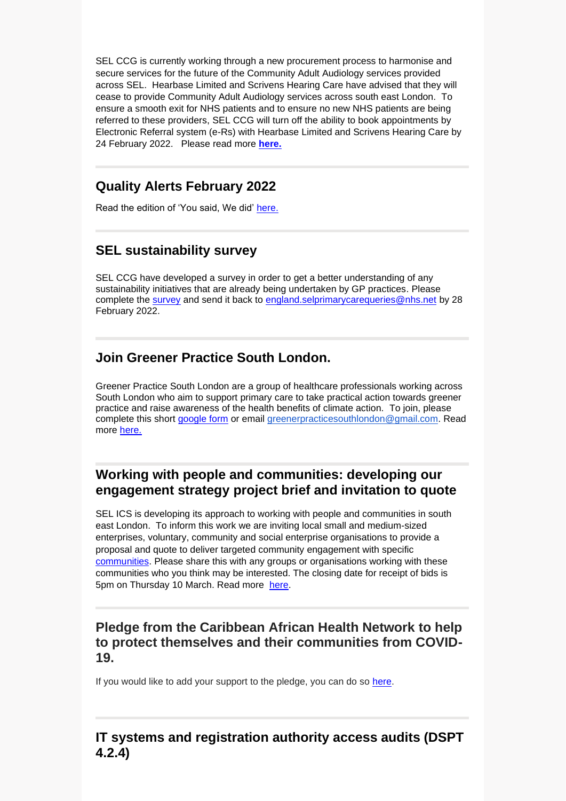SEL CCG is currently working through a new procurement process to harmonise and secure services for the future of the Community Adult Audiology services provided across SEL. Hearbase Limited and Scrivens Hearing Care have advised that they will cease to provide Community Adult Audiology services across south east London. To ensure a smooth exit for NHS patients and to ensure no new NHS patients are being referred to these providers, SEL CCG will turn off the ability to book appointments by Electronic Referral system (e-Rs) with Hearbase Limited and Scrivens Hearing Care by 24 February 2022. Please read more **[here.](https://selondonccg.nhs.uk/wp-content/uploads/2022/02/GP-Comms-Scrivens-and-Hearbase-Final.docx)**

## **Quality Alerts February 2022**

Read the edition of 'You said, We did' [here.](https://selondonccg.nhs.uk/wp-content/uploads/2022/02/Lessons-Learnt-Quality-You-said-we-did-February-22-Edition.pdf)

# **SEL sustainability survey**

SEL CCG have developed a survey in order to get a better understanding of any sustainability initiatives that are already being undertaken by GP practices. Please complete the [survey](https://view.officeapps.live.com/op/view.aspx?src=https%3A%2F%2Fselondonccg.nhs.uk%2Fwp-content%2Fuploads%2F2022%2F02%2FEnvironmental-Sustainability-in-General-Practice-Survey-004.docx&wdOrigin=BROWSELINK) and send it back to [england.selprimarycarequeries@nhs.net](mailto:england.selprimarycarequeries@nhs.net) by 28 February 2022.

## **Join Greener Practice South London.**

Greener Practice South London are a group of healthcare professionals working across South London who aim to support primary care to take practical action towards greener practice and raise awareness of the health benefits of climate action. To join, please complete this short [google form](mailto:google%20form) or email [greenerpracticesouthlondon@gmail.com.](mailto:greenerpracticesouthlondon@gmail.com) Read more [here.](https://selondonccg.nhs.uk/wp-content/uploads/2022/02/Greener-Practice-London-summary.docx)

### **Working with people and communities: developing our engagement strategy project brief and invitation to quote**

SEL ICS is developing its approach to working with people and communities in south east London. To inform this work we are inviting local small and medium-sized enterprises, voluntary, community and social enterprise organisations to provide a proposal and quote to deliver targeted community engagement with specific [communities.](https://selondonccg.nhs.uk/wp-content/uploads/2022/02/SEL-ICS-working-with-people-and-communities-engagement-brief-and-invitation-to-quote-final-18-Feb-2022.pdf) Please share this with any groups or organisations working with these communities who you think may be interested. The closing date for receipt of bids is 5pm on Thursday 10 March. Read more [here.](https://selondonccg.nhs.uk/wp-content/uploads/2022/02/SEL-ICS-working-with-people-and-communities-engagement-brief-and-invitation-to-quote-final-18-Feb-2022.pdf)

### **Pledge from the Caribbean African Health Network to help to protect themselves and their communities from COVID-19.**

If you would like to add your support to the pledge, you can do so [here.](https://future.nhs.uk/system/login?nextURL=%2Fconnect%2Eti%2FNationalCOVID19VaccineEquality%2Fmessageshowthread%3FmessageId%3D16041099%26threadId%3D8431246)

# **IT systems and registration authority access audits (DSPT 4.2.4)**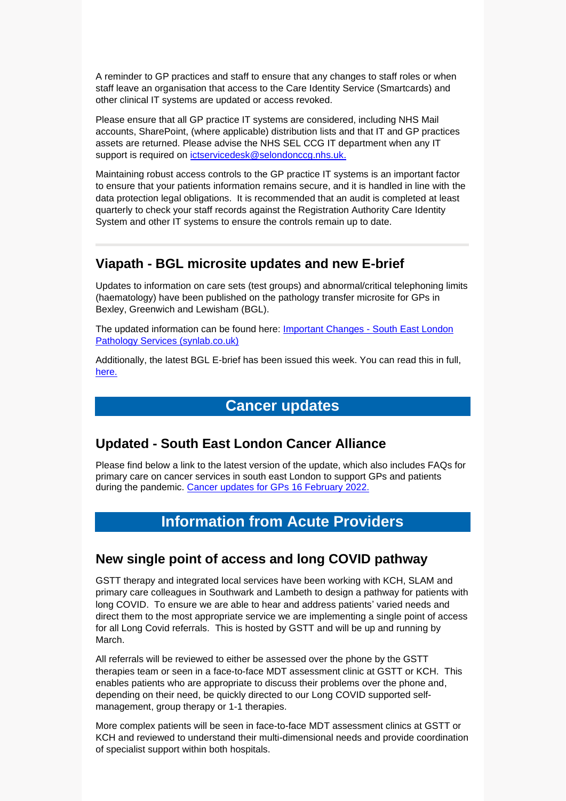A reminder to GP practices and staff to ensure that any changes to staff roles or when staff leave an organisation that access to the Care Identity Service (Smartcards) and other clinical IT systems are updated or access revoked.

Please ensure that all GP practice IT systems are considered, including NHS Mail accounts, SharePoint, (where applicable) distribution lists and that IT and GP practices assets are returned. Please advise the NHS SEL CCG IT department when any IT support is required on [ictservicedesk@selondonccg.nhs.uk.](mailto:ictservicedesk@selondonccg.nhs.uk)

Maintaining robust access controls to the GP practice IT systems is an important factor to ensure that your patients information remains secure, and it is handled in line with the data protection legal obligations. It is recommended that an audit is completed at least quarterly to check your staff records against the Registration Authority Care Identity System and other IT systems to ensure the controls remain up to date.

### **Viapath - BGL microsite updates and new E-brief**

Updates to information on care sets (test groups) and abnormal/critical telephoning limits (haematology) have been published on the pathology transfer microsite for GPs in Bexley, Greenwich and Lewisham (BGL).

The updated information can be found here: [Important Changes -](https://sel.synlab.co.uk/bgl/important-changes/#Abnormal) South East London [Pathology Services \(synlab.co.uk\)](https://sel.synlab.co.uk/bgl/important-changes/#Abnormal)

Additionally, the latest BGL E-brief has been issued this week. You can read this in full, [here.](https://selondonccg.nhs.uk/wp-content/uploads/2022/02/Ebrief-21-Feb-22.pdf) 

# **Cancer updates**

### **Updated - South East London Cancer Alliance**

Please find below a link to the latest version of the update, which also includes FAQs for primary care on cancer services in south east London to support GPs and patients during the pandemic. [Cancer updates for GPs 16](https://selondonccg.nhs.uk/wp-content/uploads/2022/02/SEL-Cancer-Updates-FAQs-for-Primary-Care-16-Feb-2022.pdf) February 2022.

# **Information from Acute Providers**

#### **New single point of access and long COVID pathway**

GSTT therapy and integrated local services have been working with KCH, SLAM and primary care colleagues in Southwark and Lambeth to design a pathway for patients with long COVID. To ensure we are able to hear and address patients' varied needs and direct them to the most appropriate service we are implementing a single point of access for all Long Covid referrals. This is hosted by GSTT and will be up and running by March.

All referrals will be reviewed to either be assessed over the phone by the GSTT therapies team or seen in a face-to-face MDT assessment clinic at GSTT or KCH. This enables patients who are appropriate to discuss their problems over the phone and, depending on their need, be quickly directed to our Long COVID supported selfmanagement, group therapy or 1-1 therapies.

More complex patients will be seen in face-to-face MDT assessment clinics at GSTT or KCH and reviewed to understand their multi-dimensional needs and provide coordination of specialist support within both hospitals.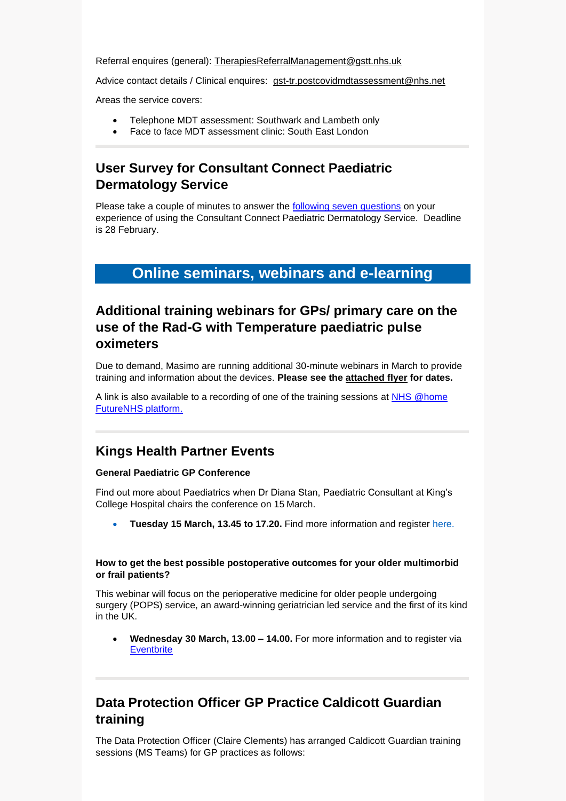Referral enquires (general): [TherapiesReferralManagement@gstt.nhs.uk](mailto:TherapiesReferralManagement@gstt.nhs.uk)

Advice contact details / Clinical enquires: [gst-tr.postcovidmdtassessment@nhs.net](mailto:gst-tr.postcovidmdtassessment@nhs.net)

Areas the service covers:

- Telephone MDT assessment: Southwark and Lambeth only
- Face to face MDT assessment clinic: South East London

# **User Survey for Consultant Connect Paediatric Dermatology Service**

Please take a couple of minutes to answer the [following seven](https://www.surveymonkey.co.uk/r/7667Q66) questions on your experience of using the Consultant Connect Paediatric Dermatology Service. Deadline is 28 February.

# **Online seminars, webinars and e-learning**

# **Additional training webinars for GPs/ primary care on the use of the Rad-G with Temperature paediatric pulse oximeters**

Due to demand, Masimo are running additional 30-minute webinars in March to provide training and information about the devices. **Please see the [attached flyer](https://selondonccg.nhs.uk/wp-content/uploads/2022/02/Rad-G-MS-Teams-Webinars-March.pdf) for dates.** 

A link is also available to a recording of one of the training sessions at [NHS @home](https://future.nhs.uk/NHSatH/view?objectId=31140624)  [FutureNHS platform.](https://future.nhs.uk/NHSatH/view?objectId=31140624)

# **Kings Health Partner Events**

#### **General Paediatric GP Conference**

Find out more about Paediatrics when Dr Diana Stan, Paediatric Consultant at King's College Hospital chairs the conference on 15 March.

• **Tuesday 15 March, 13.45 to 17.20.** Find more information and register [here.](https://eur03.safelinks.protection.outlook.com/?url=https%3A%2F%2Fwww.eventbrite.co.uk%2Fe%2Fgeneral-paediatrics-gp-conference-tickets-269571263907&data=04%7C01%7Cwenda.aitchison%40kcl.ac.uk%7Cfe2ea996da6849915cfb08d9f08d9d8f%7C8370cf1416f34c16b83c724071654356%7C0%7C0%7C637805313294287342%7CUnknown%7CTWFpbGZsb3d8eyJWIjoiMC4wLjAwMDAiLCJQIjoiV2luMzIiLCJBTiI6Ik1haWwiLCJXVCI6Mn0%3D%7C3000&sdata=7LKlMmyJxuvjaNLuGXIO9H5dv2ZmCoWr4JLWOl0UQGY%3D&reserved=0)

#### **How to get the best possible postoperative outcomes for your older multimorbid or frail patients?**

This webinar will focus on the perioperative medicine for older people undergoing surgery (POPS) service, an award-winning geriatrician led service and the first of its kind in the UK.

• **Wednesday 30 March, 13.00 – 14.00.** For more information and to register via **[Eventbrite](https://bit.ly/3AQnOxj)** 

# **Data Protection Officer GP Practice Caldicott Guardian training**

The Data Protection Officer (Claire Clements) has arranged Caldicott Guardian training sessions (MS Teams) for GP practices as follows: